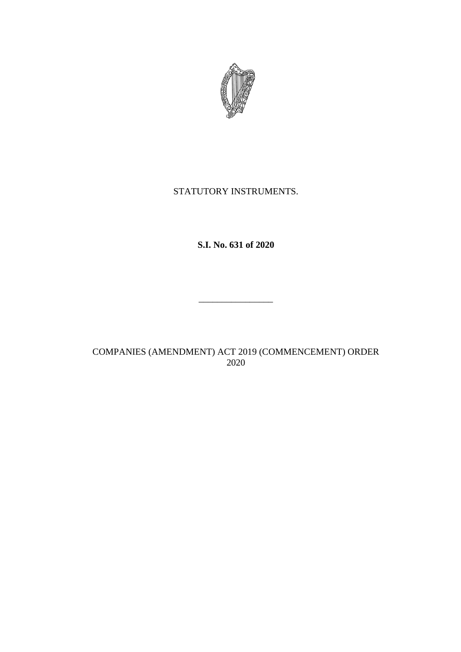

# STATUTORY INSTRUMENTS.

# **S.I. No. 631 of 2020**

# COMPANIES (AMENDMENT) ACT 2019 (COMMENCEMENT) ORDER 2020

 $\mathcal{L}_\text{max}$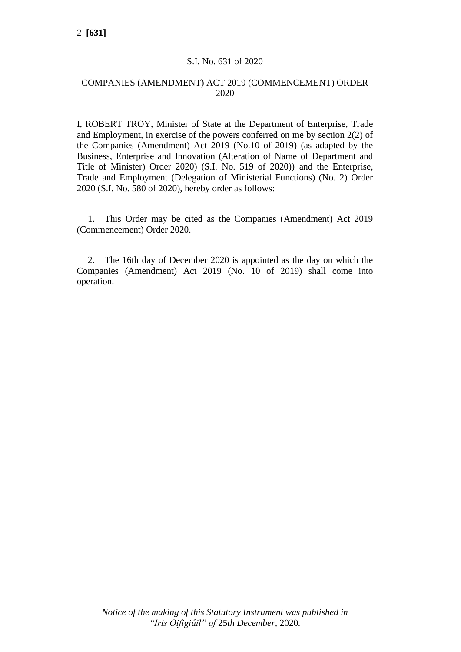#### S.I. No. 631 of 2020

#### COMPANIES (AMENDMENT) ACT 2019 (COMMENCEMENT) ORDER 2020

I, ROBERT TROY, Minister of State at the Department of Enterprise, Trade and Employment, in exercise of the powers conferred on me by section 2(2) of the Companies (Amendment) Act 2019 (No.10 of 2019) (as adapted by the Business, Enterprise and Innovation (Alteration of Name of Department and Title of Minister) Order 2020) (S.I. No. 519 of 2020)) and the Enterprise, Trade and Employment (Delegation of Ministerial Functions) (No. 2) Order 2020 (S.I. No. 580 of 2020), hereby order as follows:

1. This Order may be cited as the Companies (Amendment) Act 2019 (Commencement) Order 2020.

2. The 16th day of December 2020 is appointed as the day on which the Companies (Amendment) Act 2019 (No. 10 of 2019) shall come into operation.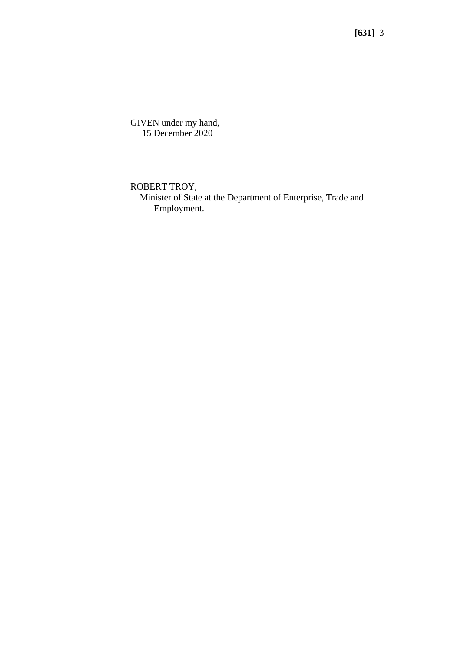**[631]** 3

GIVEN under my hand, 15 December 2020

ROBERT TROY,

 Minister of State at the Department of Enterprise, Trade and Employment.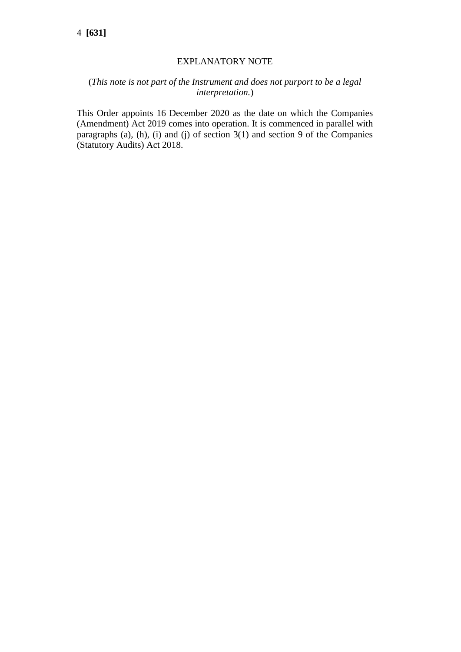### EXPLANATORY NOTE

### (*This note is not part of the Instrument and does not purport to be a legal interpretation.*)

This Order appoints 16 December 2020 as the date on which the Companies (Amendment) Act 2019 comes into operation. It is commenced in parallel with paragraphs (a), (h), (i) and (j) of section 3(1) and section 9 of the Companies (Statutory Audits) Act 2018.